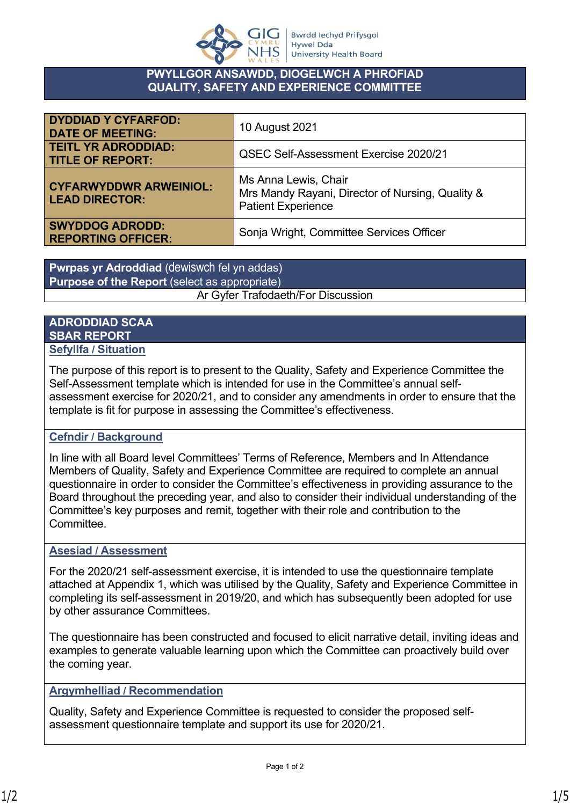

### **PWYLLGOR ANSAWDD, DIOGELWCH A PHROFIAD QUALITY, SAFETY AND EXPERIENCE COMMITTEE**

| <b>DYDDIAD Y CYFARFOD:</b><br><b>DATE OF MEETING:</b>  | 10 August 2021                                                                                        |
|--------------------------------------------------------|-------------------------------------------------------------------------------------------------------|
| <b>TEITL YR ADRODDIAD:</b><br><b>TITLE OF REPORT:</b>  | <b>QSEC Self-Assessment Exercise 2020/21</b>                                                          |
| <b>CYFARWYDDWR ARWEINIOL:</b><br><b>LEAD DIRECTOR:</b> | Ms Anna Lewis, Chair<br>Mrs Mandy Rayani, Director of Nursing, Quality &<br><b>Patient Experience</b> |
| <b>SWYDDOG ADRODD:</b><br><b>REPORTING OFFICER:</b>    | Sonja Wright, Committee Services Officer                                                              |

**Pwrpas yr Adroddiad** (dewiswch fel yn addas) **Purpose of the Report** (select as appropriate) Ar Gyfer Trafodaeth/For Discussion

#### **ADRODDIAD SCAA SBAR REPORT Sefyllfa / Situation**

The purpose of this report is to present to the Quality, Safety and Experience Committee the Self-Assessment template which is intended for use in the Committee's annual selfassessment exercise for 2020/21, and to consider any amendments in order to ensure that the template is fit for purpose in assessing the Committee's effectiveness.

# **Cefndir / Background**

In line with all Board level Committees' Terms of Reference, Members and In Attendance Members of Quality, Safety and Experience Committee are required to complete an annual questionnaire in order to consider the Committee's effectiveness in providing assurance to the Board throughout the preceding year, and also to consider their individual understanding of the Committee's key purposes and remit, together with their role and contribution to the **Committee** 

# **Asesiad / Assessment**

For the 2020/21 self-assessment exercise, it is intended to use the questionnaire template attached at Appendix 1, which was utilised by the Quality, Safety and Experience Committee in completing its self-assessment in 2019/20, and which has subsequently been adopted for use by other assurance Committees.

The questionnaire has been constructed and focused to elicit narrative detail, inviting ideas and examples to generate valuable learning upon which the Committee can proactively build over the coming year.

# **Argymhelliad / Recommendation**

Quality, Safety and Experience Committee is requested to consider the proposed selfassessment questionnaire template and support its use for 2020/21.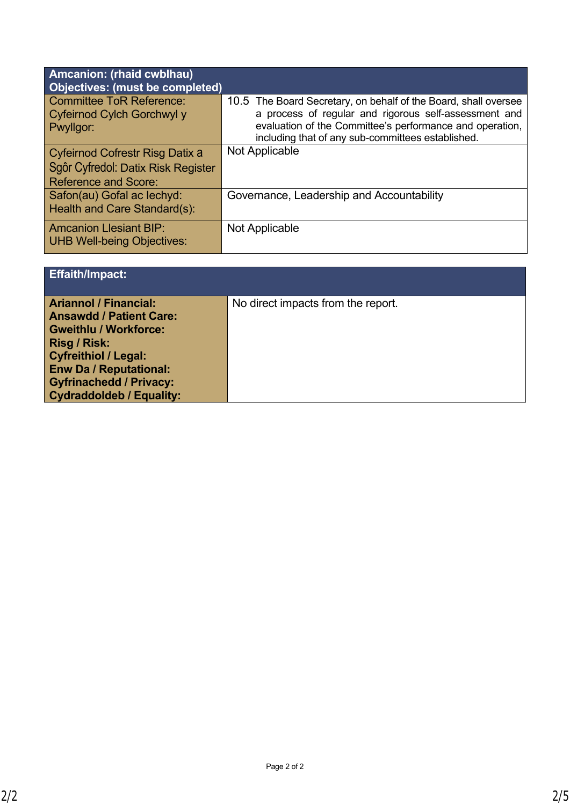| Amcanion: (rhaid cwblhau)<br><b>Objectives: (must be completed)</b>                                  |                                                                                                                                                                                                                                           |
|------------------------------------------------------------------------------------------------------|-------------------------------------------------------------------------------------------------------------------------------------------------------------------------------------------------------------------------------------------|
| <b>Committee ToR Reference:</b><br>Cyfeirnod Cylch Gorchwyl y<br>Pwyllgor:                           | 10.5 The Board Secretary, on behalf of the Board, shall oversee<br>a process of regular and rigorous self-assessment and<br>evaluation of the Committee's performance and operation,<br>including that of any sub-committees established. |
| Cyfeirnod Cofrestr Risg Datix a<br>Sgôr Cyfredol: Datix Risk Register<br><b>Reference and Score:</b> | Not Applicable                                                                                                                                                                                                                            |
| Safon(au) Gofal ac lechyd:<br>Health and Care Standard(s):                                           | Governance, Leadership and Accountability                                                                                                                                                                                                 |
| <b>Amcanion Llesiant BIP:</b><br><b>UHB Well-being Objectives:</b>                                   | Not Applicable                                                                                                                                                                                                                            |

| <b>Effaith/Impact:</b>                                                                                                                                                                                                                              |                                    |
|-----------------------------------------------------------------------------------------------------------------------------------------------------------------------------------------------------------------------------------------------------|------------------------------------|
| <b>Ariannol / Financial:</b><br><b>Ansawdd / Patient Care:</b><br><b>Gweithlu / Workforce:</b><br>Risg / Risk:<br><b>Cyfreithiol / Legal:</b><br><b>Enw Da / Reputational:</b><br><b>Gyfrinachedd / Privacy:</b><br><b>Cydraddoldeb / Equality:</b> | No direct impacts from the report. |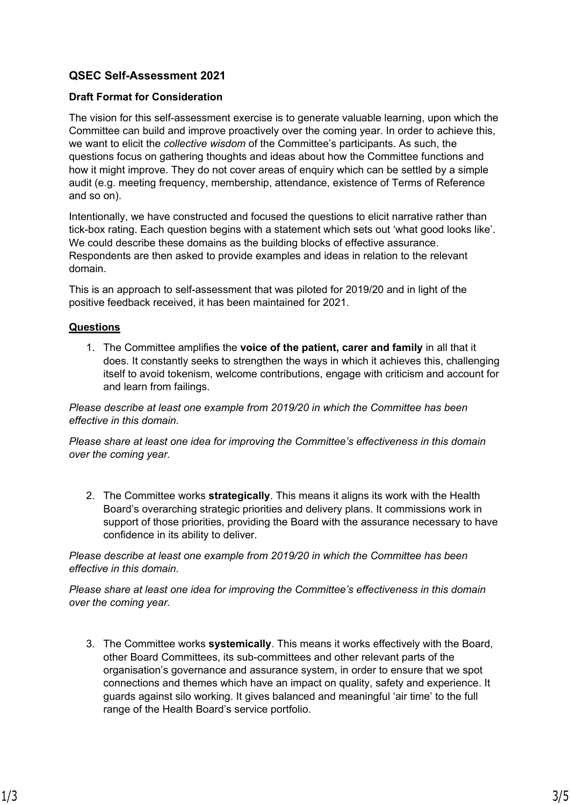# **QSEC Self-Assessment 2021**

#### **Draft Format for Consideration**

The vision for this self-assessment exercise is to generate valuable learning, upon which the Committee can build and improve proactively over the coming year. In order to achieve this, we want to elicit the *collective wisdom* of the Committee's participants. As such, the questions focus on gathering thoughts and ideas about how the Committee functions and how it might improve. They do not cover areas of enquiry which can be settled by a simple audit (e.g. meeting frequency, membership, attendance, existence of Terms of Reference and so on).

Intentionally, we have constructed and focused the questions to elicit narrative rather than tick-box rating. Each question begins with a statement which sets out 'what good looks like'. We could describe these domains as the building blocks of effective assurance. Respondents are then asked to provide examples and ideas in relation to the relevant domain.

This is an approach to self-assessment that was piloted for 2019/20 and in light of the positive feedback received, it has been maintained for 2021.

#### **Questions**

1. The Committee amplifies the **voice of the patient, carer and family** in all that it does. It constantly seeks to strengthen the ways in which it achieves this, challenging itself to avoid tokenism, welcome contributions, engage with criticism and account for and learn from failings.

*Please describe at least one example from 2019/20 in which the Committee has been effective in this domain.*

*Please share at least one idea for improving the Committee's effectiveness in this domain over the coming year.*

2. The Committee works **strategically**. This means it aligns its work with the Health Board's overarching strategic priorities and delivery plans. It commissions work in support of those priorities, providing the Board with the assurance necessary to have confidence in its ability to deliver.

*Please describe at least one example from 2019/20 in which the Committee has been effective in this domain.*

*Please share at least one idea for improving the Committee's effectiveness in this domain over the coming year.*

3. The Committee works **systemically**. This means it works effectively with the Board, other Board Committees, its sub-committees and other relevant parts of the organisation's governance and assurance system, in order to ensure that we spot connections and themes which have an impact on quality, safety and experience. It guards against silo working. It gives balanced and meaningful 'air time' to the full range of the Health Board's service portfolio.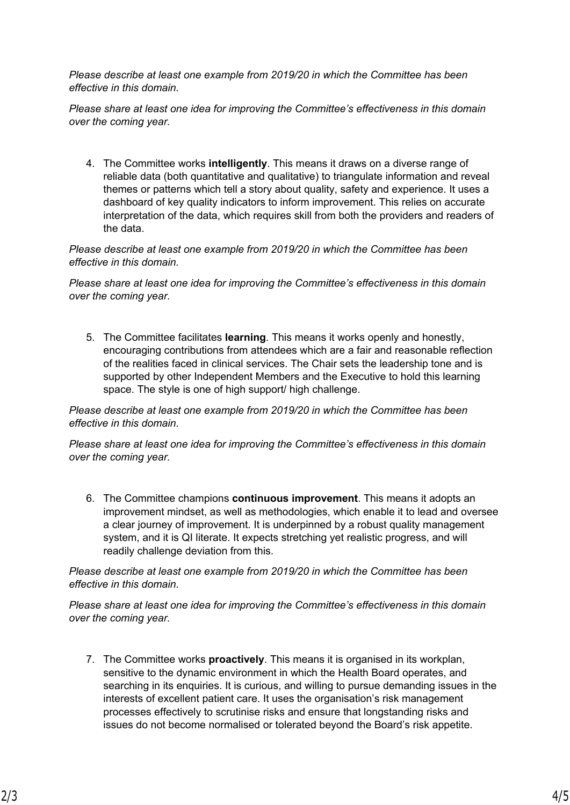*Please describe at least one example from 2019/20 in which the Committee has been effective in this domain.*

*Please share at least one idea for improving the Committee's effectiveness in this domain over the coming year.*

4. The Committee works **intelligently**. This means it draws on a diverse range of reliable data (both quantitative and qualitative) to triangulate information and reveal themes or patterns which tell a story about quality, safety and experience. It uses a dashboard of key quality indicators to inform improvement. This relies on accurate interpretation of the data, which requires skill from both the providers and readers of the data.

*Please describe at least one example from 2019/20 in which the Committee has been effective in this domain.*

*Please share at least one idea for improving the Committee's effectiveness in this domain over the coming year.*

5. The Committee facilitates **learning**. This means it works openly and honestly, encouraging contributions from attendees which are a fair and reasonable reflection of the realities faced in clinical services. The Chair sets the leadership tone and is supported by other Independent Members and the Executive to hold this learning space. The style is one of high support/ high challenge.

*Please describe at least one example from 2019/20 in which the Committee has been effective in this domain.*

*Please share at least one idea for improving the Committee's effectiveness in this domain over the coming year.*

6. The Committee champions **continuous improvement**. This means it adopts an improvement mindset, as well as methodologies, which enable it to lead and oversee a clear journey of improvement. It is underpinned by a robust quality management system, and it is QI literate. It expects stretching yet realistic progress, and will readily challenge deviation from this.

*Please describe at least one example from 2019/20 in which the Committee has been effective in this domain.*

*Please share at least one idea for improving the Committee's effectiveness in this domain over the coming year.*

7. The Committee works **proactively**. This means it is organised in its workplan, sensitive to the dynamic environment in which the Health Board operates, and searching in its enquiries. It is curious, and willing to pursue demanding issues in the interests of excellent patient care. It uses the organisation's risk management processes effectively to scrutinise risks and ensure that longstanding risks and issues do not become normalised or tolerated beyond the Board's risk appetite.